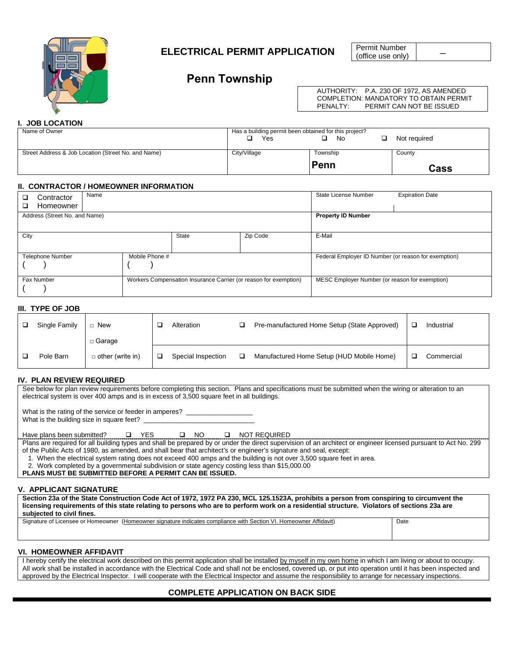

# **ELECTRICAL PERMIT APPLICATION**

Permit Number<br>(office use only)

# **Penn Township**

AUTHORITY: P.A. 230 OF 1972, AS AMENDED COMPLETION: MANDATORY TO OBTAIN PERMIT<br>PENALTY: PERMIT CAN NOT BE ISSUED PERMIT CAN NOT BE ISSUED

# **I. JOB LOCATION**

| Name of Owner                                       | Has a building permit been obtained for this project? |          |              |  |  |  |
|-----------------------------------------------------|-------------------------------------------------------|----------|--------------|--|--|--|
|                                                     | Yes                                                   | No       | Not required |  |  |  |
|                                                     |                                                       |          |              |  |  |  |
| Street Address & Job Location (Street No. and Name) | City/Village                                          | Township | County       |  |  |  |
|                                                     |                                                       |          |              |  |  |  |
|                                                     |                                                       | Penn     | Cass         |  |  |  |

#### **II. CONTRACTOR / HOMEOWNER INFORMATION**

| Name<br>Contractor<br>Homeowner |                |                                                                  |                                                      | State License Number | <b>Expiration Date</b> |  |  |
|---------------------------------|----------------|------------------------------------------------------------------|------------------------------------------------------|----------------------|------------------------|--|--|
| Address (Street No. and Name)   |                | <b>Property ID Number</b>                                        |                                                      |                      |                        |  |  |
| City                            |                | State                                                            | Zip Code                                             | E-Mail               |                        |  |  |
| <b>Telephone Number</b>         | Mobile Phone # |                                                                  | Federal Employer ID Number (or reason for exemption) |                      |                        |  |  |
| Fax Number                      |                | Workers Compensation Insurance Carrier (or reason for exemption) | MESC Employer Number (or reason for exemption)       |                      |                        |  |  |

## **III. TYPE OF JOB**

| Single Family | New                     | Alteration         | ⊐ | Pre-manufactured Home Setup (State Approved) | Industrial |
|---------------|-------------------------|--------------------|---|----------------------------------------------|------------|
|               | $\Box$ Garage           |                    |   |                                              |            |
| Pole Barn     | $\Box$ other (write in) | Special Inspection |   | Manufactured Home Setup (HUD Mobile Home)    | Commercial |

# **IV. PLAN REVIEW REQUIRED**

See below for plan review requirements before completing this section. Plans and specifications must be submitted when the wiring or alteration to an electrical system is over 400 amps and is in excess of 3,500 square feet in all buildings.

What is the rating of the service or feeder in amperes? \_

What is the building size in square feet?

Have plans been submitted?  $\Box$  YES  $\Box$  NO  $\Box$  NOT REQUIRED

Plans are required for all building types and shall be prepared by or under the direct supervision of an architect or engineer licensed pursuant to Act No. 299 of the Public Acts of 1980, as amended, and shall bear that architect's or engineer's signature and seal, except:

1. When the electrical system rating does not exceed 400 amps and the building is not over 3,500 square feet in area.

2. Work completed by a governmental subdivision or state agency costing less than \$15,000.00

**PLANS MUST BE SUBMITTED BEFORE A PERMIT CAN BE ISSUED.**

## **V. APPLICANT SIGNATURE**

**Section 23a of the State Construction Code Act of 1972, 1972 PA 230, MCL 125.1523A, prohibits a person from conspiring to circumvent the licensing requirements of this state relating to persons who are to perform work on a residential structure. Violators of sections 23a are subjected to civil fines.**

Signature of Licensee or Homeowner (Homeowner signature indicates compliance with Section VI. Homeowner Affidavit) Date

#### **VI. HOMEOWNER AFFIDAVIT**

I hereby certify the electrical work described on this permit application shall be installed by myself in my own home in which I am living or about to occupy. All work shall be installed in accordance with the Electrical Code and shall not be enclosed, covered up, or put into operation until it has been inspected and approved by the Electrical Inspector. I will cooperate with the Electrical Inspector and assume the responsibility to arrange for necessary inspections.

# **COMPLETE APPLICATION ON BACK SIDE**